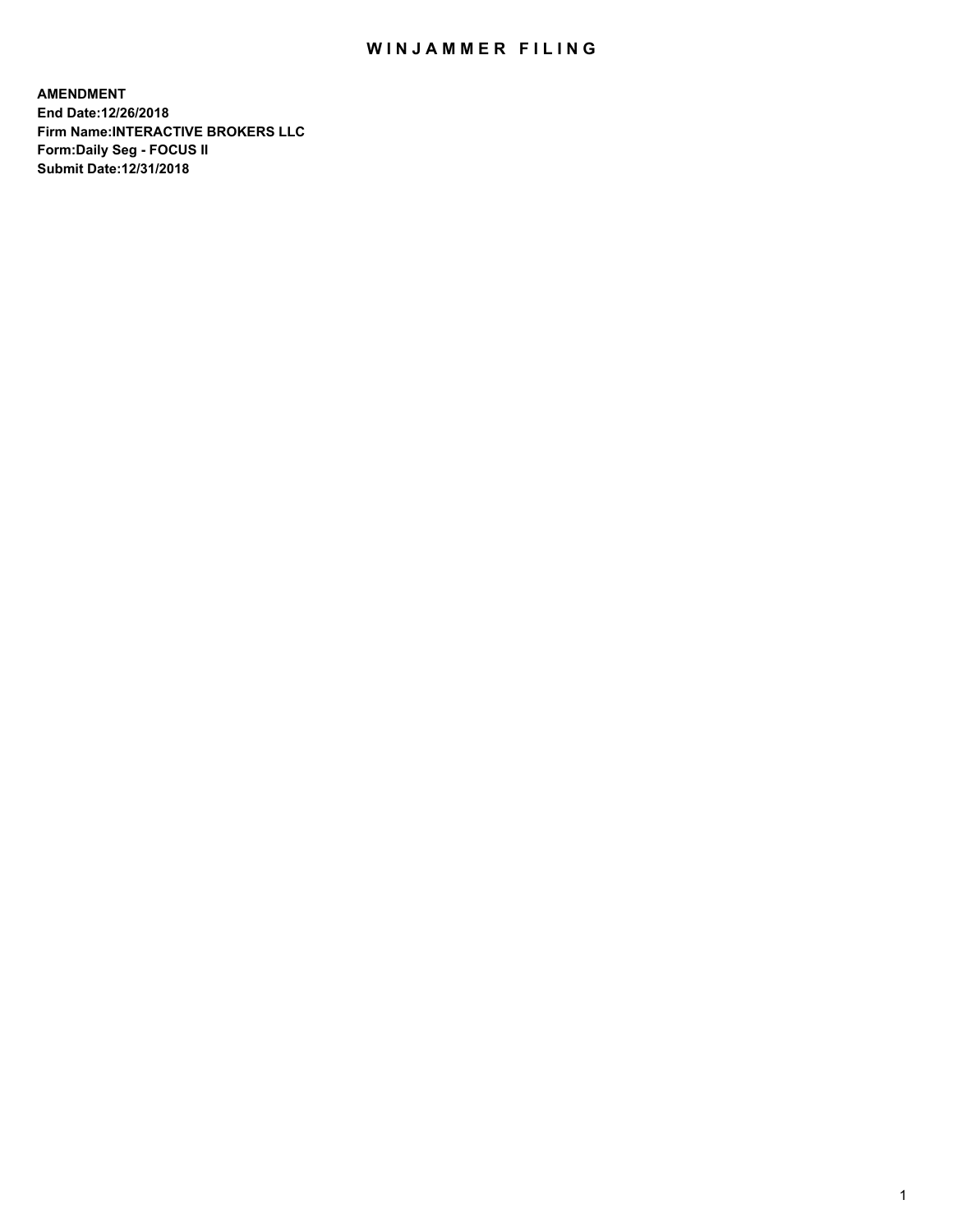## WIN JAMMER FILING

**AMENDMENT End Date:12/26/2018 Firm Name:INTERACTIVE BROKERS LLC Form:Daily Seg - FOCUS II Submit Date:12/31/2018**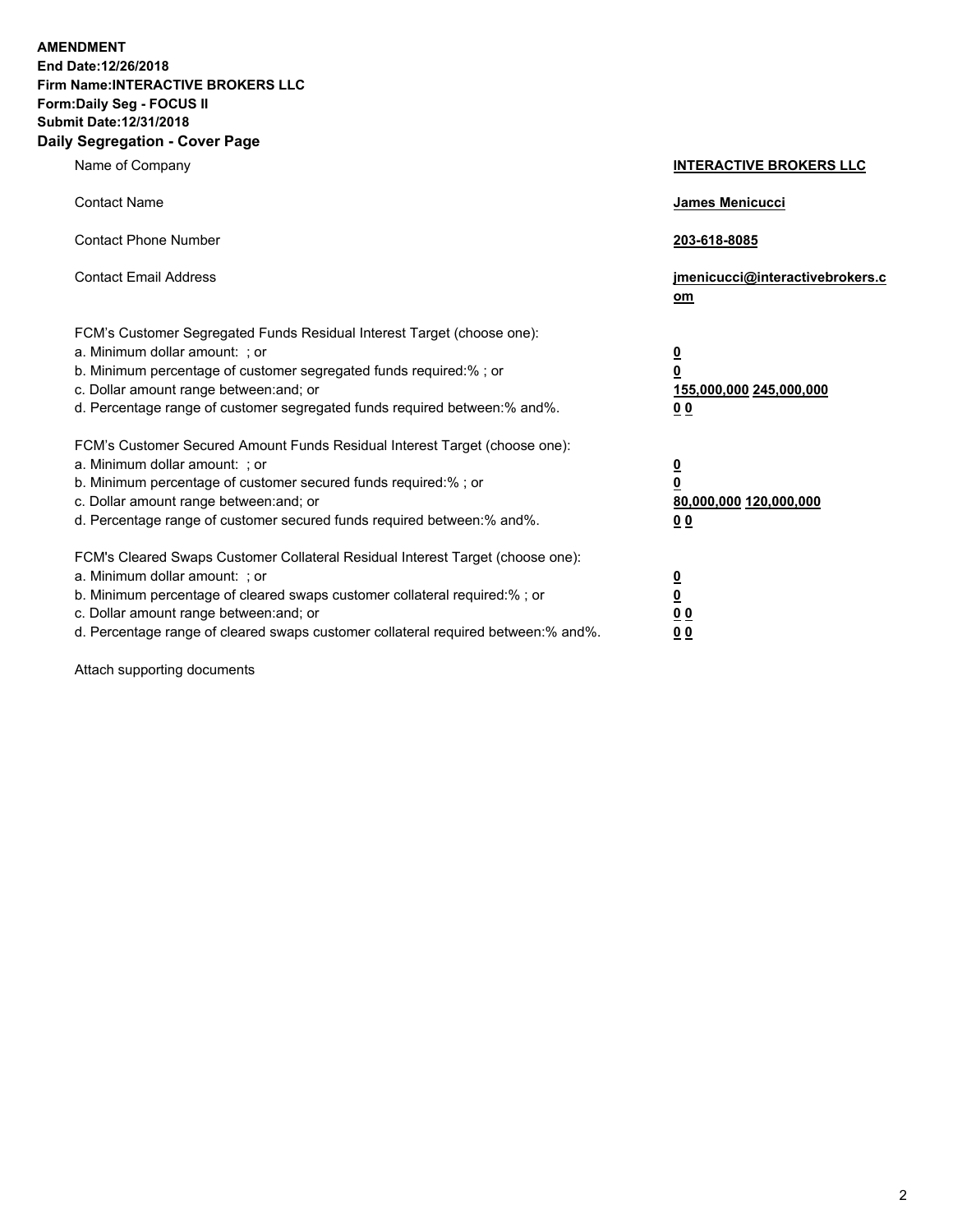**AMENDMENT End Date:12/26/2018 Firm Name:INTERACTIVE BROKERS LLC Form:Daily Seg - FOCUS II Submit Date:12/31/2018 Daily Segregation - Cover Page**

| Name of Company                                                                                                                                                                                                                                                                                                                | <b>INTERACTIVE BROKERS LLC</b>                                            |
|--------------------------------------------------------------------------------------------------------------------------------------------------------------------------------------------------------------------------------------------------------------------------------------------------------------------------------|---------------------------------------------------------------------------|
| <b>Contact Name</b>                                                                                                                                                                                                                                                                                                            | James Menicucci                                                           |
| <b>Contact Phone Number</b>                                                                                                                                                                                                                                                                                                    | 203-618-8085                                                              |
| <b>Contact Email Address</b>                                                                                                                                                                                                                                                                                                   | jmenicucci@interactivebrokers.c<br>om                                     |
| FCM's Customer Segregated Funds Residual Interest Target (choose one):<br>a. Minimum dollar amount: ; or<br>b. Minimum percentage of customer segregated funds required:% ; or<br>c. Dollar amount range between: and; or<br>d. Percentage range of customer segregated funds required between:% and%.                         | $\overline{\mathbf{0}}$<br>0<br>155,000,000 245,000,000<br>0 <sub>0</sub> |
| FCM's Customer Secured Amount Funds Residual Interest Target (choose one):<br>a. Minimum dollar amount: ; or<br>b. Minimum percentage of customer secured funds required:%; or<br>c. Dollar amount range between: and; or<br>d. Percentage range of customer secured funds required between:% and%.                            | $\overline{\mathbf{0}}$<br>$\pmb{0}$<br>80,000,000 120,000,000<br>00      |
| FCM's Cleared Swaps Customer Collateral Residual Interest Target (choose one):<br>a. Minimum dollar amount: ; or<br>b. Minimum percentage of cleared swaps customer collateral required:% ; or<br>c. Dollar amount range between: and; or<br>d. Percentage range of cleared swaps customer collateral required between:% and%. | $\overline{\mathbf{0}}$<br><u>0</u><br>0 <sub>0</sub><br>0 <sub>0</sub>   |

Attach supporting documents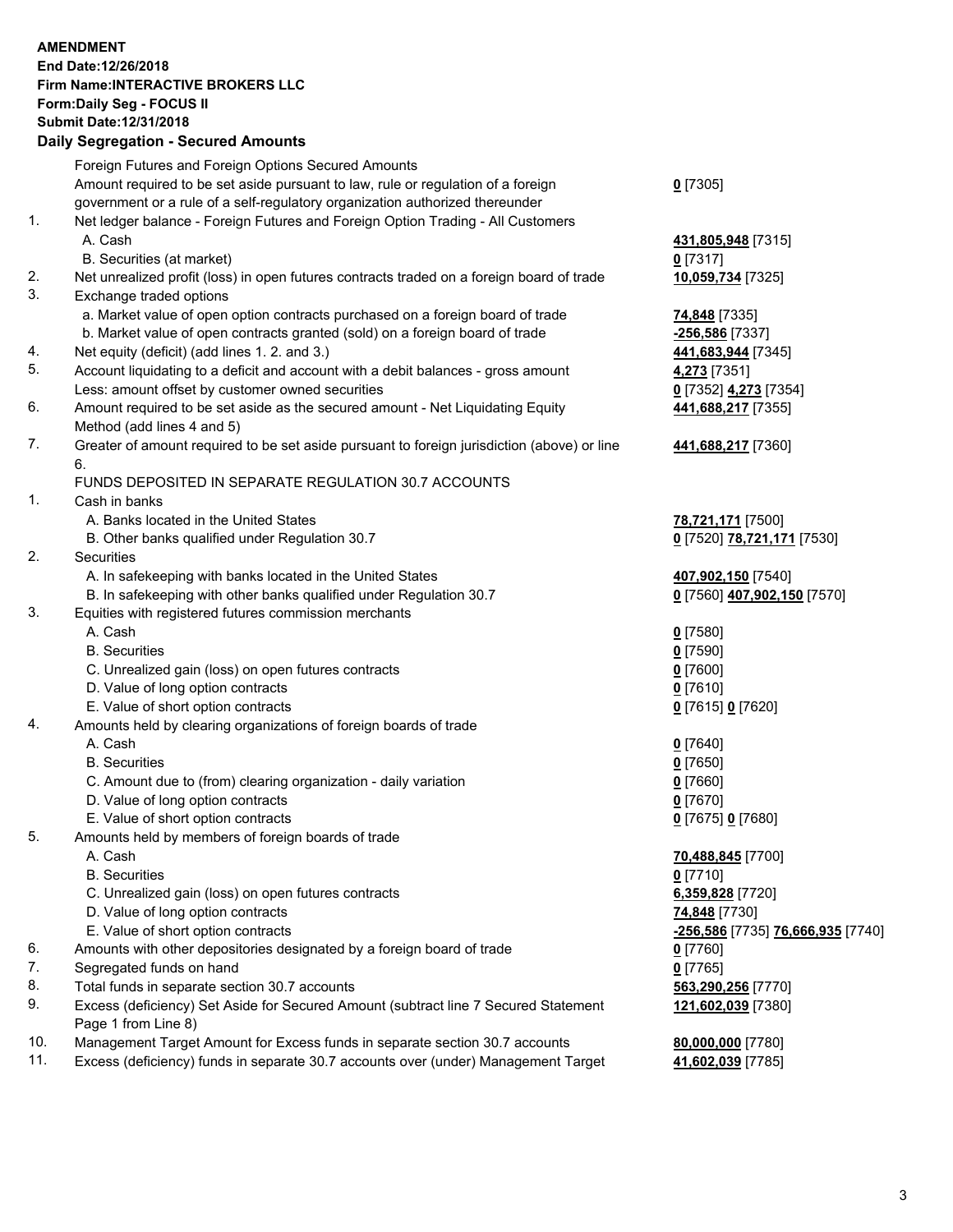## **AMENDMENT End Date:12/26/2018 Firm Name:INTERACTIVE BROKERS LLC Form:Daily Seg - FOCUS II Submit Date:12/31/2018 Daily Segregation - Secured Amounts**

|     | Daily Segregation - Secured Amounts                                                                     |                                   |
|-----|---------------------------------------------------------------------------------------------------------|-----------------------------------|
|     | Foreign Futures and Foreign Options Secured Amounts                                                     |                                   |
|     | Amount required to be set aside pursuant to law, rule or regulation of a foreign                        | $0$ [7305]                        |
|     | government or a rule of a self-regulatory organization authorized thereunder                            |                                   |
| 1.  | Net ledger balance - Foreign Futures and Foreign Option Trading - All Customers                         |                                   |
|     | A. Cash                                                                                                 | 431,805,948 [7315]                |
|     | B. Securities (at market)                                                                               | $0$ [7317]                        |
| 2.  | Net unrealized profit (loss) in open futures contracts traded on a foreign board of trade               | 10,059,734 [7325]                 |
| 3.  | Exchange traded options                                                                                 |                                   |
|     | a. Market value of open option contracts purchased on a foreign board of trade                          | <b>74,848</b> [7335]              |
|     | b. Market value of open contracts granted (sold) on a foreign board of trade                            | -256,586 [7337]                   |
| 4.  | Net equity (deficit) (add lines 1.2. and 3.)                                                            | 441,683,944 [7345]                |
| 5.  | Account liquidating to a deficit and account with a debit balances - gross amount                       | 4,273 [7351]                      |
|     | Less: amount offset by customer owned securities                                                        | 0 [7352] 4,273 [7354]             |
| 6.  | Amount required to be set aside as the secured amount - Net Liquidating Equity                          | 441,688,217 [7355]                |
|     | Method (add lines 4 and 5)                                                                              |                                   |
| 7.  | Greater of amount required to be set aside pursuant to foreign jurisdiction (above) or line             | 441,688,217 [7360]                |
|     | 6.                                                                                                      |                                   |
|     | FUNDS DEPOSITED IN SEPARATE REGULATION 30.7 ACCOUNTS                                                    |                                   |
| 1.  | Cash in banks                                                                                           |                                   |
|     | A. Banks located in the United States                                                                   | 78,721,171 [7500]                 |
|     | B. Other banks qualified under Regulation 30.7                                                          | 0 [7520] 78,721,171 [7530]        |
| 2.  | <b>Securities</b>                                                                                       |                                   |
|     | A. In safekeeping with banks located in the United States                                               | 407,902,150 [7540]                |
|     | B. In safekeeping with other banks qualified under Regulation 30.7                                      | 0 [7560] 407,902,150 [7570]       |
| 3.  | Equities with registered futures commission merchants                                                   |                                   |
|     | A. Cash                                                                                                 | $0$ [7580]                        |
|     | <b>B.</b> Securities                                                                                    | $0$ [7590]                        |
|     | C. Unrealized gain (loss) on open futures contracts                                                     | $0$ [7600]                        |
|     | D. Value of long option contracts                                                                       | $0$ [7610]                        |
| 4.  | E. Value of short option contracts<br>Amounts held by clearing organizations of foreign boards of trade | 0 [7615] 0 [7620]                 |
|     | A. Cash                                                                                                 | $0$ [7640]                        |
|     | <b>B.</b> Securities                                                                                    | $0$ [7650]                        |
|     | C. Amount due to (from) clearing organization - daily variation                                         | $0$ [7660]                        |
|     | D. Value of long option contracts                                                                       | $0$ [7670]                        |
|     | E. Value of short option contracts                                                                      | 0 [7675] 0 [7680]                 |
| 5.  | Amounts held by members of foreign boards of trade                                                      |                                   |
|     | A. Cash                                                                                                 | 70,488,845 [7700]                 |
|     | <b>B.</b> Securities                                                                                    | $0$ [7710]                        |
|     | C. Unrealized gain (loss) on open futures contracts                                                     | 6,359,828 [7720]                  |
|     | D. Value of long option contracts                                                                       | 74,848 [7730]                     |
|     | E. Value of short option contracts                                                                      | -256,586 [7735] 76,666,935 [7740] |
| 6.  | Amounts with other depositories designated by a foreign board of trade                                  | $0$ [7760]                        |
| 7.  | Segregated funds on hand                                                                                | $0$ [7765]                        |
| 8.  | Total funds in separate section 30.7 accounts                                                           | 563,290,256 [7770]                |
| 9.  | Excess (deficiency) Set Aside for Secured Amount (subtract line 7 Secured Statement                     | 121,602,039 [7380]                |
|     | Page 1 from Line 8)                                                                                     |                                   |
| 10. | Management Target Amount for Excess funds in separate section 30.7 accounts                             | 80,000,000 [7780]                 |
| 11. | Excess (deficiency) funds in separate 30.7 accounts over (under) Management Target                      | 41,602,039 [7785]                 |
|     |                                                                                                         |                                   |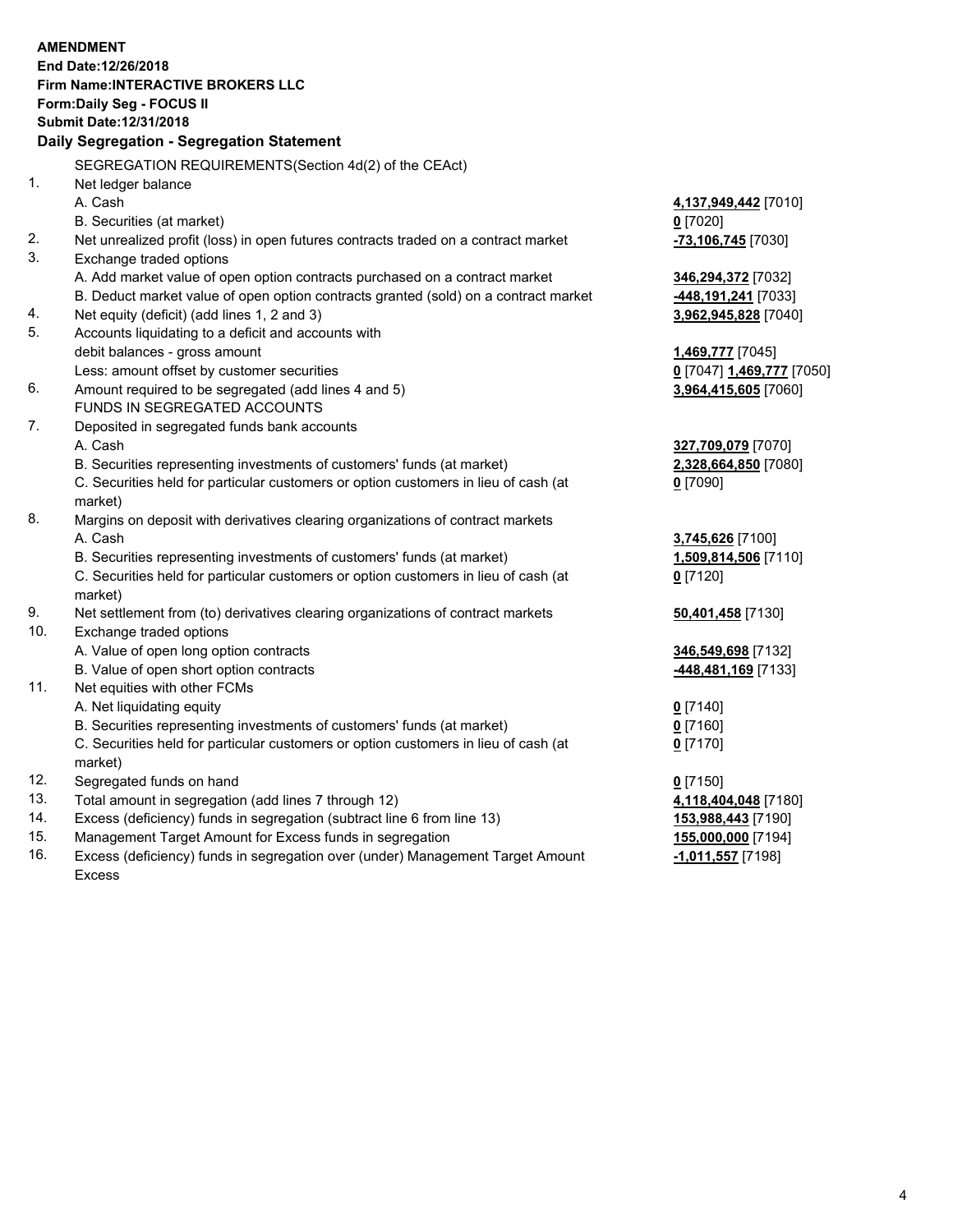|     | <b>AMENDMENT</b><br>End Date:12/26/2018                                             |                           |
|-----|-------------------------------------------------------------------------------------|---------------------------|
|     | <b>Firm Name:INTERACTIVE BROKERS LLC</b>                                            |                           |
|     | Form: Daily Seg - FOCUS II                                                          |                           |
|     | Submit Date: 12/31/2018                                                             |                           |
|     | Daily Segregation - Segregation Statement                                           |                           |
|     | SEGREGATION REQUIREMENTS(Section 4d(2) of the CEAct)                                |                           |
| 1.  | Net ledger balance                                                                  |                           |
|     | A. Cash                                                                             | 4,137,949,442 [7010]      |
|     | B. Securities (at market)                                                           | $0$ [7020]                |
| 2.  | Net unrealized profit (loss) in open futures contracts traded on a contract market  | -73,106,745 [7030]        |
| 3.  | Exchange traded options                                                             |                           |
|     | A. Add market value of open option contracts purchased on a contract market         | 346,294,372 [7032]        |
|     | B. Deduct market value of open option contracts granted (sold) on a contract market | 448,191,241 [7033]        |
| 4.  | Net equity (deficit) (add lines 1, 2 and 3)                                         | 3,962,945,828 [7040]      |
| 5.  | Accounts liquidating to a deficit and accounts with                                 |                           |
|     | debit balances - gross amount                                                       | 1,469,777 [7045]          |
|     | Less: amount offset by customer securities                                          | 0 [7047] 1,469,777 [7050] |
| 6.  | Amount required to be segregated (add lines 4 and 5)                                | 3,964,415,605 [7060]      |
|     | FUNDS IN SEGREGATED ACCOUNTS                                                        |                           |
| 7.  | Deposited in segregated funds bank accounts                                         |                           |
|     | A. Cash                                                                             | 327,709,079 [7070]        |
|     | B. Securities representing investments of customers' funds (at market)              | 2,328,664,850 [7080]      |
|     | C. Securities held for particular customers or option customers in lieu of cash (at | $0$ [7090]                |
|     | market)                                                                             |                           |
| 8.  | Margins on deposit with derivatives clearing organizations of contract markets      |                           |
|     | A. Cash                                                                             | 3,745,626 [7100]          |
|     | B. Securities representing investments of customers' funds (at market)              | 1,509,814,506 [7110]      |
|     | C. Securities held for particular customers or option customers in lieu of cash (at | $0$ [7120]                |
|     | market)                                                                             |                           |
| 9.  | Net settlement from (to) derivatives clearing organizations of contract markets     | 50,401,458 [7130]         |
| 10. | Exchange traded options                                                             |                           |
|     | A. Value of open long option contracts                                              | 346,549,698 [7132]        |
|     | B. Value of open short option contracts                                             | 448,481,169 [7133]        |
| 11. | Net equities with other FCMs                                                        |                           |
|     | A. Net liquidating equity                                                           | $0$ [7140]                |
|     | B. Securities representing investments of customers' funds (at market)              | $0$ [7160]                |
|     | C. Securities held for particular customers or option customers in lieu of cash (at | $0$ [7170]                |
|     | market)                                                                             |                           |
| 12. | Segregated funds on hand                                                            | $0$ [7150]                |
| 13. | Total amount in segregation (add lines 7 through 12)                                | 4,118,404,048 [7180]      |
| 14. | Excess (deficiency) funds in segregation (subtract line 6 from line 13)             | 153,988,443 [7190]        |
| 15. | Management Target Amount for Excess funds in segregation                            | 155,000,000 [7194]        |
| 16. | Excess (deficiency) funds in segregation over (under) Management Target Amount      | -1,011,557 [7198]         |

Excess